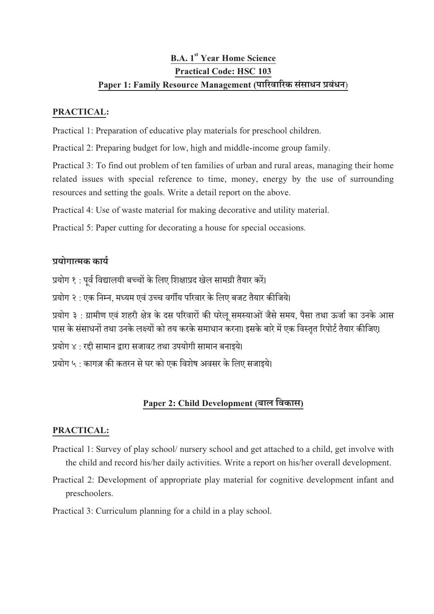# **B.A.** 1<sup>st</sup> Year Home Science Practical Code: HSC 103 Paper 1: Family Resource Management (पारिवारिक संसाधन प्रबंधन)

#### PRACTICAL:

Practical 1: Preparation of educative play materials for preschool children.

Practical 2: Preparing budget for low, high and middle-income group family.

Practical 3: To find out problem of ten families of urban and rural areas, managing their home related issues with special reference to time, money, energy by the use of surrounding resources and setting the goals. Write a detail report on the above.

Practical 4: Use of waste material for making decorative and utility material.

Practical 5: Paper cutting for decorating a house for special occasions.

### योगामक काय

प्रयोग १ : पूर्व विद्यालयी बच्चों के लिए शिक्षाप्रद खेल सामग्री तैयार करें।

प्रयोग २ : एक निम्न, मध्यम एवं उच्च वर्गीय परिवार के लिए बजट तैयार कीजिये।

प्रयोग ३ : ग्रामीण एवं शहरी क्षेत्र के दस परिवारों की घरेल समस्याओं जैसे समय, पैसा तथा ऊर्जा का उनके आस <u>पास के संसाधनों तथा उनके लक्ष्यों को तय करके समाधान करना। इसके बारे में एक विस्तत रिपोर्ट तैयार कीजिए।</u>

प्रयोग ४ : रही सामान द्वारा सजावट तथा उपयोगी सामान बनाइये।

प्रयोग ५ : कागज़ की कतरन से घर को एक विशेष अवसर के लिए सजाइये।

## Paper 2: Child Development (बाल विकास)

### PRACTICAL:

- Practical 1: Survey of play school/ nursery school and get attached to a child, get involve with the child and record his/her daily activities. Write a report on his/her overall development.
- Practical 2: Development of appropriate play material for cognitive development infant and preschoolers.

Practical 3: Curriculum planning for a child in a play school.